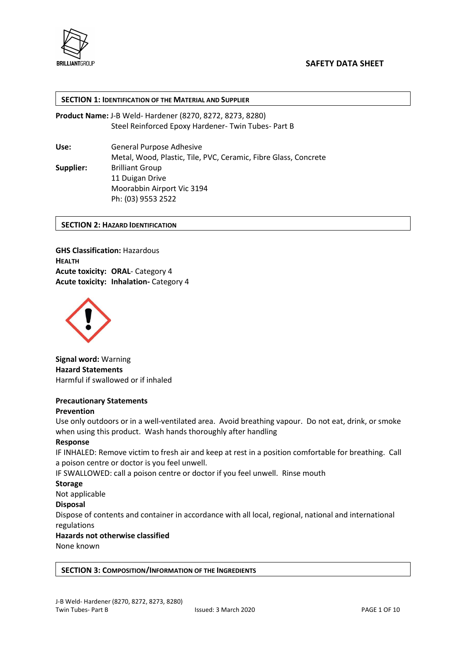

#### SECTION 1: IDENTIFICATION OF THE MATERIAL AND SUPPLIER

Product Name: J-B Weld- Hardener (8270, 8272, 8273, 8280) Steel Reinforced Epoxy Hardener- Twin Tubes- Part B

Use: General Purpose Adhesive Metal, Wood, Plastic, Tile, PVC, Ceramic, Fibre Glass, Concrete Supplier: Brilliant Group 11 Duigan Drive Moorabbin Airport Vic 3194 Ph: (03) 9553 2522

#### SECTION 2: HAZARD IDENTIFICATION

GHS Classification: Hazardous HEALTH Acute toxicity: ORAL- Category 4 Acute toxicity: Inhalation- Category 4



Signal word: Warning Hazard Statements Harmful if swallowed or if inhaled

# Precautionary Statements

#### Prevention

Use only outdoors or in a well-ventilated area. Avoid breathing vapour. Do not eat, drink, or smoke when using this product. Wash hands thoroughly after handling

#### Response

IF INHALED: Remove victim to fresh air and keep at rest in a position comfortable for breathing. Call a poison centre or doctor is you feel unwell.

IF SWALLOWED: call a poison centre or doctor if you feel unwell. Rinse mouth

**Storage** 

Not applicable

#### Disposal

Dispose of contents and container in accordance with all local, regional, national and international regulations

# Hazards not otherwise classified

None known

#### SECTION 3: COMPOSITION/INFORMATION OF THE INGREDIENTS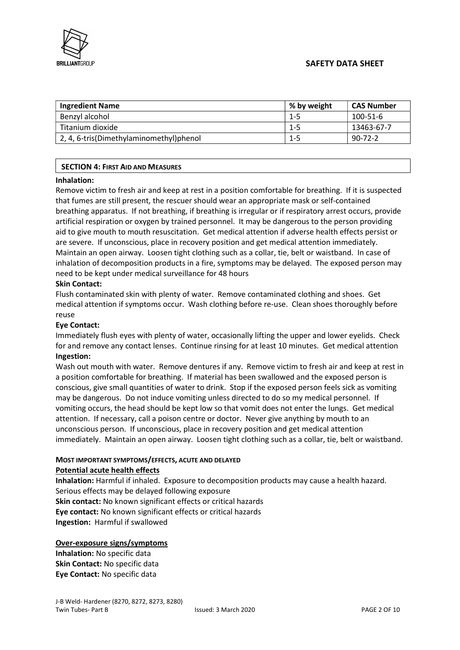

# SAFETY DATA SHEET

| <b>Ingredient Name</b>                  | % by weight | <b>CAS Number</b> |
|-----------------------------------------|-------------|-------------------|
| Benzyl alcohol                          | 1-5         | $100 - 51 - 6$    |
| Titanium dioxide                        | $1 - 5$     | 13463-67-7        |
| 2, 4, 6-tris(Dimethylaminomethyl)phenol | 1-5         | $90 - 72 - 2$     |

# SECTION 4: FIRST AID AND MEASURES

#### Inhalation:

Remove victim to fresh air and keep at rest in a position comfortable for breathing. If it is suspected that fumes are still present, the rescuer should wear an appropriate mask or self-contained breathing apparatus. If not breathing, if breathing is irregular or if respiratory arrest occurs, provide artificial respiration or oxygen by trained personnel. It may be dangerous to the person providing aid to give mouth to mouth resuscitation. Get medical attention if adverse health effects persist or are severe. If unconscious, place in recovery position and get medical attention immediately. Maintain an open airway. Loosen tight clothing such as a collar, tie, belt or waistband. In case of inhalation of decomposition products in a fire, symptoms may be delayed. The exposed person may need to be kept under medical surveillance for 48 hours

#### Skin Contact:

Flush contaminated skin with plenty of water. Remove contaminated clothing and shoes. Get medical attention if symptoms occur. Wash clothing before re-use. Clean shoes thoroughly before reuse

#### Eye Contact:

Immediately flush eyes with plenty of water, occasionally lifting the upper and lower eyelids. Check for and remove any contact lenses. Continue rinsing for at least 10 minutes. Get medical attention Ingestion:

Wash out mouth with water. Remove dentures if any. Remove victim to fresh air and keep at rest in a position comfortable for breathing. If material has been swallowed and the exposed person is conscious, give small quantities of water to drink. Stop if the exposed person feels sick as vomiting may be dangerous. Do not induce vomiting unless directed to do so my medical personnel. If vomiting occurs, the head should be kept low so that vomit does not enter the lungs. Get medical attention. If necessary, call a poison centre or doctor. Never give anything by mouth to an unconscious person. If unconscious, place in recovery position and get medical attention immediately. Maintain an open airway. Loosen tight clothing such as a collar, tie, belt or waistband.

# MOST IMPORTANT SYMPTOMS/EFFECTS, ACUTE AND DELAYED

# Potential acute health effects

Inhalation: Harmful if inhaled. Exposure to decomposition products may cause a health hazard. Serious effects may be delayed following exposure Skin contact: No known significant effects or critical hazards Eye contact: No known significant effects or critical hazards

Ingestion: Harmful if swallowed

#### Over-exposure signs/symptoms

Inhalation: No specific data Skin Contact: No specific data Eye Contact: No specific data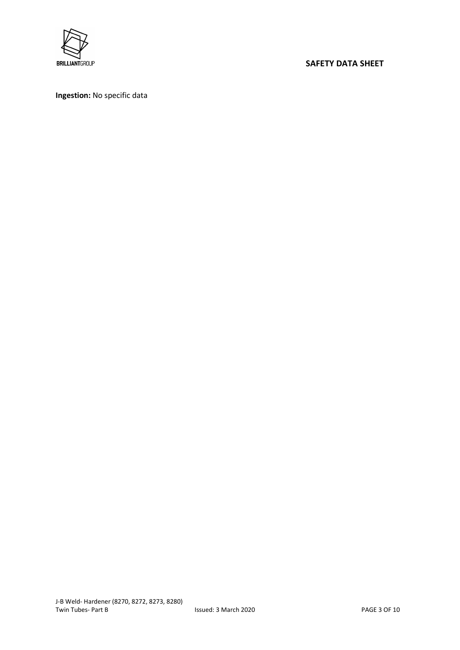

# BRILLIANTGROUP **SAFETY DATA SHEET**

Ingestion: No specific data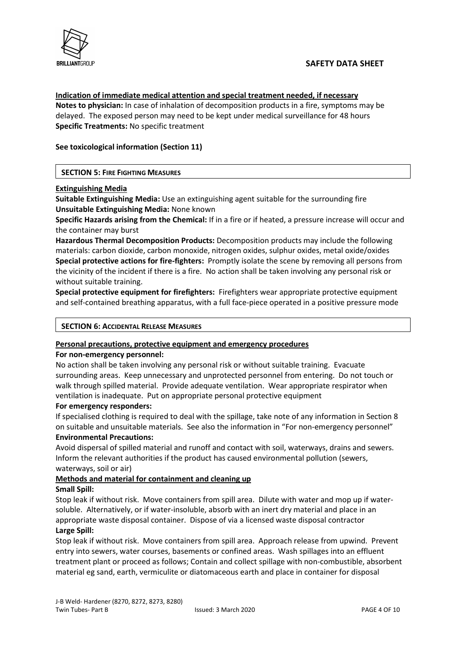

#### Indication of immediate medical attention and special treatment needed, if necessary

Notes to physician: In case of inhalation of decomposition products in a fire, symptoms may be delayed. The exposed person may need to be kept under medical surveillance for 48 hours Specific Treatments: No specific treatment

# See toxicological information (Section 11)

# SECTION 5: FIRE FIGHTING MEASURES

#### Extinguishing Media

Suitable Extinguishing Media: Use an extinguishing agent suitable for the surrounding fire Unsuitable Extinguishing Media: None known

Specific Hazards arising from the Chemical: If in a fire or if heated, a pressure increase will occur and the container may burst

Hazardous Thermal Decomposition Products: Decomposition products may include the following materials: carbon dioxide, carbon monoxide, nitrogen oxides, sulphur oxides, metal oxide/oxides Special protective actions for fire-fighters: Promptly isolate the scene by removing all persons from the vicinity of the incident if there is a fire. No action shall be taken involving any personal risk or without suitable training.

Special protective equipment for firefighters: Firefighters wear appropriate protective equipment and self-contained breathing apparatus, with a full face-piece operated in a positive pressure mode

# SECTION 6: ACCIDENTAL RELEASE MEASURES

#### Personal precautions, protective equipment and emergency procedures

#### For non-emergency personnel:

No action shall be taken involving any personal risk or without suitable training. Evacuate surrounding areas. Keep unnecessary and unprotected personnel from entering. Do not touch or walk through spilled material. Provide adequate ventilation. Wear appropriate respirator when ventilation is inadequate. Put on appropriate personal protective equipment

#### For emergency responders:

If specialised clothing is required to deal with the spillage, take note of any information in Section 8 on suitable and unsuitable materials. See also the information in "For non-emergency personnel"

# Environmental Precautions:

Avoid dispersal of spilled material and runoff and contact with soil, waterways, drains and sewers. Inform the relevant authorities if the product has caused environmental pollution (sewers, waterways, soil or air)

#### Methods and material for containment and cleaning up

#### Small Spill:

Stop leak if without risk. Move containers from spill area. Dilute with water and mop up if watersoluble. Alternatively, or if water-insoluble, absorb with an inert dry material and place in an appropriate waste disposal container. Dispose of via a licensed waste disposal contractor Large Spill:

# Stop leak if without risk. Move containers from spill area. Approach release from upwind. Prevent entry into sewers, water courses, basements or confined areas. Wash spillages into an effluent treatment plant or proceed as follows; Contain and collect spillage with non-combustible, absorbent material eg sand, earth, vermiculite or diatomaceous earth and place in container for disposal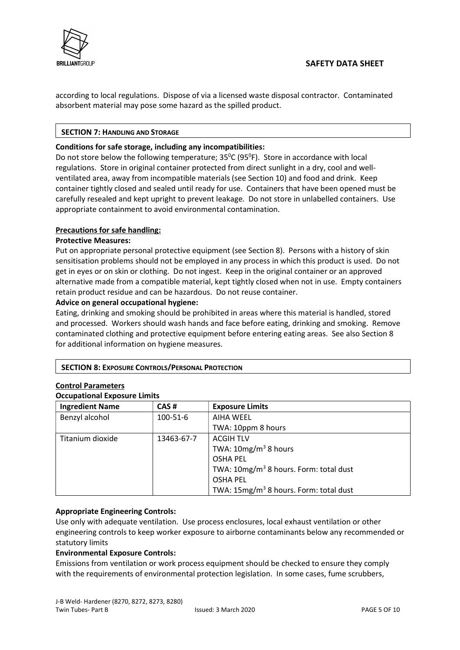

according to local regulations. Dispose of via a licensed waste disposal contractor. Contaminated absorbent material may pose some hazard as the spilled product.

# SECTION 7: HANDLING AND STORAGE

## Conditions for safe storage, including any incompatibilities:

Do not store below the following temperature;  $35^{\circ}$ C (95<sup>o</sup>F). Store in accordance with local regulations. Store in original container protected from direct sunlight in a dry, cool and wellventilated area, away from incompatible materials (see Section 10) and food and drink. Keep container tightly closed and sealed until ready for use. Containers that have been opened must be carefully resealed and kept upright to prevent leakage. Do not store in unlabelled containers. Use appropriate containment to avoid environmental contamination.

# Precautions for safe handling:

# Protective Measures:

Put on appropriate personal protective equipment (see Section 8). Persons with a history of skin sensitisation problems should not be employed in any process in which this product is used. Do not get in eyes or on skin or clothing. Do not ingest. Keep in the original container or an approved alternative made from a compatible material, kept tightly closed when not in use. Empty containers retain product residue and can be hazardous. Do not reuse container.

# Advice on general occupational hygiene:

Eating, drinking and smoking should be prohibited in areas where this material is handled, stored and processed. Workers should wash hands and face before eating, drinking and smoking. Remove contaminated clothing and protective equipment before entering eating areas. See also Section 8 for additional information on hygiene measures.

#### SECTION 8: EXPOSURE CONTROLS/PERSONAL PROTECTION

# Control Parameters

#### Occupational Exposure Limits

| <b>Ingredient Name</b> | CAS#       | <b>Exposure Limits</b>                             |
|------------------------|------------|----------------------------------------------------|
| Benzyl alcohol         | 100-51-6   | AIHA WEEL                                          |
|                        |            | TWA: 10ppm 8 hours                                 |
| Titanium dioxide       | 13463-67-7 | <b>ACGIH TLV</b>                                   |
|                        |            | TWA: $10mg/m3$ 8 hours                             |
|                        |            | <b>OSHA PEL</b>                                    |
|                        |            | TWA: 10mg/m <sup>3</sup> 8 hours. Form: total dust |
|                        |            | <b>OSHA PEL</b>                                    |
|                        |            | TWA: 15mg/m <sup>3</sup> 8 hours. Form: total dust |

#### Appropriate Engineering Controls:

Use only with adequate ventilation. Use process enclosures, local exhaust ventilation or other engineering controls to keep worker exposure to airborne contaminants below any recommended or statutory limits

#### Environmental Exposure Controls:

Emissions from ventilation or work process equipment should be checked to ensure they comply with the requirements of environmental protection legislation. In some cases, fume scrubbers,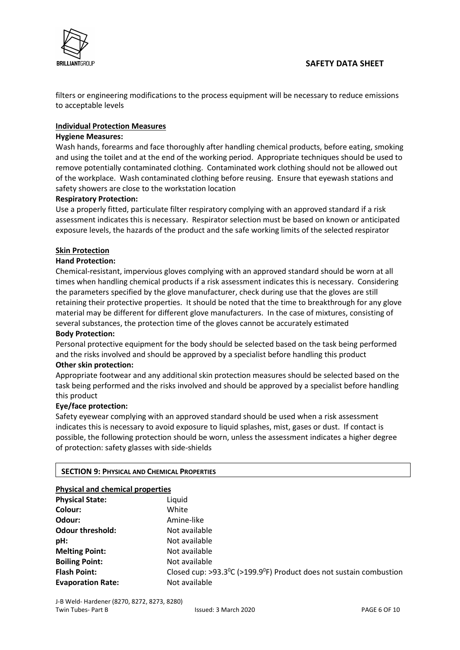

filters or engineering modifications to the process equipment will be necessary to reduce emissions to acceptable levels

# Individual Protection Measures

## Hygiene Measures:

Wash hands, forearms and face thoroughly after handling chemical products, before eating, smoking and using the toilet and at the end of the working period. Appropriate techniques should be used to remove potentially contaminated clothing. Contaminated work clothing should not be allowed out of the workplace. Wash contaminated clothing before reusing. Ensure that eyewash stations and safety showers are close to the workstation location

# Respiratory Protection:

Use a properly fitted, particulate filter respiratory complying with an approved standard if a risk assessment indicates this is necessary. Respirator selection must be based on known or anticipated exposure levels, the hazards of the product and the safe working limits of the selected respirator

# Skin Protection

# Hand Protection:

Chemical-resistant, impervious gloves complying with an approved standard should be worn at all times when handling chemical products if a risk assessment indicates this is necessary. Considering the parameters specified by the glove manufacturer, check during use that the gloves are still retaining their protective properties. It should be noted that the time to breakthrough for any glove material may be different for different glove manufacturers. In the case of mixtures, consisting of several substances, the protection time of the gloves cannot be accurately estimated

#### Body Protection:

Personal protective equipment for the body should be selected based on the task being performed and the risks involved and should be approved by a specialist before handling this product

#### Other skin protection:

Appropriate footwear and any additional skin protection measures should be selected based on the task being performed and the risks involved and should be approved by a specialist before handling this product

#### Eye/face protection:

Safety eyewear complying with an approved standard should be used when a risk assessment indicates this is necessary to avoid exposure to liquid splashes, mist, gases or dust. If contact is possible, the following protection should be worn, unless the assessment indicates a higher degree of protection: safety glasses with side-shields

#### SECTION 9: PHYSICAL AND CHEMICAL PROPERTIES

| <b>Physical and chemical properties</b> |                                                                                                   |
|-----------------------------------------|---------------------------------------------------------------------------------------------------|
| <b>Physical State:</b>                  | Liquid                                                                                            |
| Colour:                                 | White                                                                                             |
| Odour:                                  | Amine-like                                                                                        |
| <b>Odour threshold:</b>                 | Not available                                                                                     |
| pH:                                     | Not available                                                                                     |
| <b>Melting Point:</b>                   | Not available                                                                                     |
| <b>Boiling Point:</b>                   | Not available                                                                                     |
| <b>Flash Point:</b>                     | Closed cup: $>93.3$ <sup>o</sup> C ( $>199.9$ <sup>o</sup> F) Product does not sustain combustion |
| <b>Evaporation Rate:</b>                | Not available                                                                                     |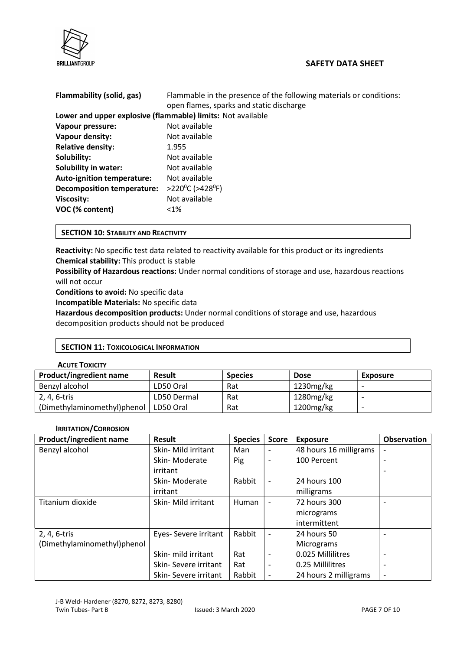



| Flammability (solid, gas)                                   | Flammable in the presence of the following materials or conditions:<br>open flames, sparks and static discharge |  |
|-------------------------------------------------------------|-----------------------------------------------------------------------------------------------------------------|--|
| Lower and upper explosive (flammable) limits: Not available |                                                                                                                 |  |
| Vapour pressure:                                            | Not available                                                                                                   |  |
| Vapour density:                                             | Not available                                                                                                   |  |
| <b>Relative density:</b>                                    | 1.955                                                                                                           |  |
| Solubility:                                                 | Not available                                                                                                   |  |
| <b>Solubility in water:</b>                                 | Not available                                                                                                   |  |
| <b>Auto-ignition temperature:</b>                           | Not available                                                                                                   |  |
| <b>Decomposition temperature:</b>                           | >220 <sup>o</sup> C (>428 <sup>o</sup> F)                                                                       |  |
| <b>Viscosity:</b>                                           | Not available                                                                                                   |  |
| VOC (% content)                                             | $< 1\%$                                                                                                         |  |

#### SECTION 10: STABILITY AND REACTIVITY

Reactivity: No specific test data related to reactivity available for this product or its ingredients Chemical stability: This product is stable

Possibility of Hazardous reactions: Under normal conditions of storage and use, hazardous reactions will not occur

Conditions to avoid: No specific data

Incompatible Materials: No specific data

Hazardous decomposition products: Under normal conditions of storage and use, hazardous decomposition products should not be produced

#### SECTION 11: TOXICOLOGICAL INFORMATION

#### ACUTE TOXICITY

| <b>Product/ingredient name</b> | <b>Result</b> | <b>Species</b> | <b>Dose</b>  | Exposure |
|--------------------------------|---------------|----------------|--------------|----------|
| Benzyl alcohol                 | LD50 Oral     | Rat            | 1230mg/kg    |          |
| 2, 4, 6-tris                   | LD50 Dermal   | Rat            | 1280mg/kg    |          |
| (Dimethylaminomethyl)phenol    | LD50 Oral     | Rat            | $1200$ mg/kg |          |

#### IRRITATION/CORROSION

| <b>Product/ingredient name</b> | <b>Result</b>         | <b>Species</b> | <b>Score</b>             | <b>Exposure</b>        | <b>Observation</b>       |
|--------------------------------|-----------------------|----------------|--------------------------|------------------------|--------------------------|
| Benzyl alcohol                 | Skin- Mild irritant   | Man            | $\overline{\phantom{a}}$ | 48 hours 16 milligrams | $\overline{\phantom{a}}$ |
|                                | Skin-Moderate         | Pig            | ٠                        | 100 Percent            | $\overline{\phantom{0}}$ |
|                                | irritant              |                |                          |                        | $\overline{\phantom{a}}$ |
|                                | Skin-Moderate         | Rabbit         | $\overline{\phantom{a}}$ | 24 hours 100           |                          |
|                                | irritant              |                |                          | milligrams             |                          |
| Titanium dioxide               | Skin- Mild irritant   | Human          | $\overline{\phantom{a}}$ | 72 hours 300           | $\overline{\phantom{a}}$ |
|                                |                       |                |                          | micrograms             |                          |
|                                |                       |                |                          | intermittent           |                          |
| 2, 4, 6-tris                   | Eyes- Severe irritant | Rabbit         | $\overline{\phantom{a}}$ | 24 hours 50            |                          |
| (Dimethylaminomethyl)phenol    |                       |                |                          | Micrograms             |                          |
|                                | Skin- mild irritant   | Rat            |                          | 0.025 Millilitres      |                          |
|                                | Skin-Severe irritant  | Rat            | ٠                        | 0.25 Millilitres       | $\overline{\phantom{0}}$ |
|                                | Skin-Severe irritant  | Rabbit         | $\overline{\phantom{a}}$ | 24 hours 2 milligrams  | $\overline{\phantom{a}}$ |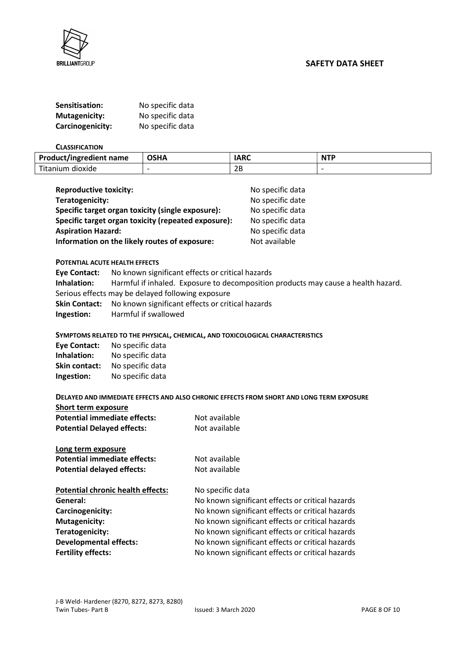

BRILLIANTGROUP **SAFETY DATA SHEET** 

| Sensitisation:       | No specific data |
|----------------------|------------------|
| <b>Mutagenicity:</b> | No specific data |
| Carcinogenicity:     | No specific data |

#### **CLASSIFICATION**

| <b>Product/ingredient name</b> | <b>OSHA</b> | <b>IARC</b> | <b>NTP</b> |
|--------------------------------|-------------|-------------|------------|
| Titanium dioxide               |             | 2B          |            |

| <b>Reproductive toxicity:</b>                       | No specific data |
|-----------------------------------------------------|------------------|
| Teratogenicity:                                     | No specific date |
| Specific target organ toxicity (single exposure):   | No specific data |
| Specific target organ toxicity (repeated exposure): | No specific data |
| <b>Aspiration Hazard:</b>                           | No specific data |
| Information on the likely routes of exposure:       | Not available    |

#### POTENTIAL ACUTE HEALTH EFFECTS

|             | <b>Eye Contact:</b> No known significant effects or critical hazards              |
|-------------|-----------------------------------------------------------------------------------|
| Inhalation: | Harmful if inhaled. Exposure to decomposition products may cause a health hazard. |
|             | Serious effects may be delayed following exposure                                 |
|             | <b>Skin Contact:</b> No known significant effects or critical hazards             |
| Ingestion:  | Harmful if swallowed                                                              |

#### SYMPTOMS RELATED TO THE PHYSICAL, CHEMICAL, AND TOXICOLOGICAL CHARACTERISTICS

| <b>Eye Contact:</b>  | No specific data |
|----------------------|------------------|
| Inhalation:          | No specific data |
| <b>Skin contact:</b> | No specific data |
| Ingestion:           | No specific data |

#### DELAYED AND IMMEDIATE EFFECTS AND ALSO CHRONIC EFFECTS FROM SHORT AND LONG TERM EXPOSURE

| Short term exposure                 |               |
|-------------------------------------|---------------|
| <b>Potential immediate effects:</b> | Not available |
| <b>Potential Delayed effects:</b>   | Not available |
| Long term exposure                  |               |
| Potential immediate effects:        | Not available |

| . סנכוונוסו וווווווכסוסנכ כווככנס.       | ivul uvunupil                                    |
|------------------------------------------|--------------------------------------------------|
| <b>Potential delayed effects:</b>        | Not available                                    |
| <b>Potential chronic health effects:</b> | No specific data                                 |
| General:                                 | No known significant effects or critical hazards |
| Carcinogenicity:                         | No known significant effects or critical hazards |
| <b>Mutagenicity:</b>                     | No known significant effects or critical hazards |
| Teratogenicity:                          | No known significant effects or critical hazards |
| <b>Developmental effects:</b>            | No known significant effects or critical hazards |
| <b>Fertility effects:</b>                | No known significant effects or critical hazards |
|                                          |                                                  |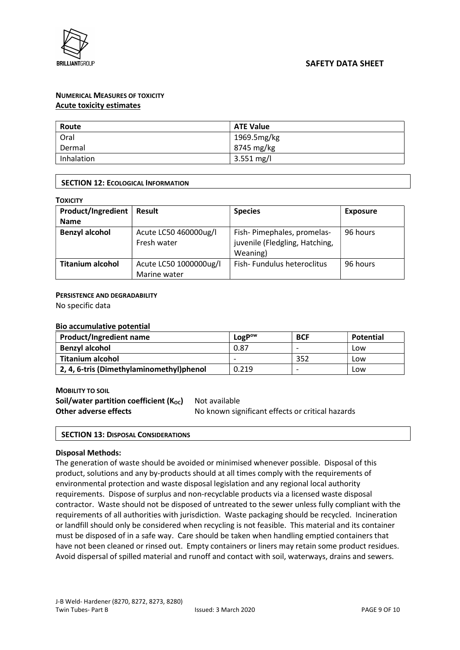

# NUMERICAL MEASURES OF TOXICITY Acute toxicity estimates

| Route      | <b>ATE Value</b>     |
|------------|----------------------|
| Oral       | 1969.5mg/kg          |
| Dermal     | 8745 mg/kg           |
| Inhalation | $3.551 \text{ mg/l}$ |

# SECTION 12: ECOLOGICAL INFORMATION

| Product/Ingredient      | <b>Result</b>                        | <b>Species</b>                                                           | <b>Exposure</b> |
|-------------------------|--------------------------------------|--------------------------------------------------------------------------|-----------------|
| <b>Name</b>             |                                      |                                                                          |                 |
| <b>Benzyl alcohol</b>   | Acute LC50 460000ug/l<br>Fresh water | Fish-Pimephales, promelas-<br>juvenile (Fledgling, Hatching,<br>Weaning) | 96 hours        |
| <b>Titanium alcohol</b> | Acute LC50 1000000ug/l               | Fish-Fundulus heteroclitus                                               | 96 hours        |
|                         | Marine water                         |                                                                          |                 |

#### PERSISTENCE AND DEGRADABILITY

No specific data

#### Bio accumulative potential

| <b>Product/Ingredient name</b>           | LogP <sup>ow</sup>       | <b>BCF</b> | Potential |
|------------------------------------------|--------------------------|------------|-----------|
| <b>Benzyl alcohol</b>                    | 0.87                     |            | Low       |
| <b>Titanium alcohol</b>                  | $\overline{\phantom{0}}$ | 352        | Low       |
| 2, 4, 6-tris (Dimethylaminomethyl)phenol | 0.219                    |            | Low       |

#### MOBILITY TO SOIL

Soil/water partition coefficient  $(K_{OC})$  Not available Other adverse effects **No known significant effects or critical hazards** 

#### SECTION 13: DISPOSAL CONSIDERATIONS

#### Disposal Methods:

The generation of waste should be avoided or minimised whenever possible. Disposal of this product, solutions and any by-products should at all times comply with the requirements of environmental protection and waste disposal legislation and any regional local authority requirements. Dispose of surplus and non-recyclable products via a licensed waste disposal contractor. Waste should not be disposed of untreated to the sewer unless fully compliant with the requirements of all authorities with jurisdiction. Waste packaging should be recycled. Incineration or landfill should only be considered when recycling is not feasible. This material and its container must be disposed of in a safe way. Care should be taken when handling emptied containers that have not been cleaned or rinsed out. Empty containers or liners may retain some product residues. Avoid dispersal of spilled material and runoff and contact with soil, waterways, drains and sewers.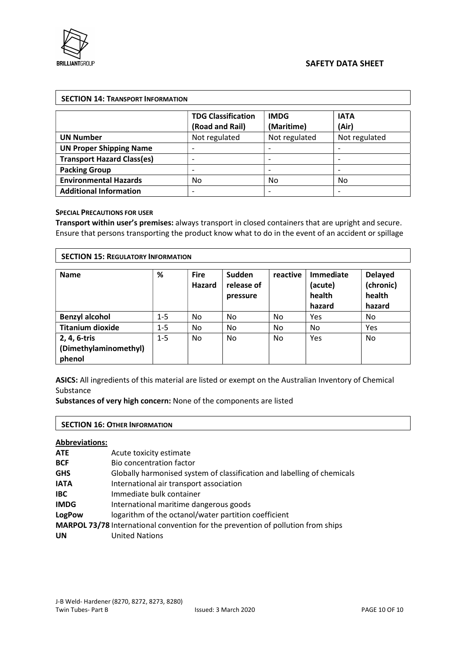

|                                   | <b>TDG Classification</b><br>(Road and Rail) | <b>IMDG</b><br>(Maritime) | <b>IATA</b><br>(Air) |
|-----------------------------------|----------------------------------------------|---------------------------|----------------------|
| <b>UN Number</b>                  | Not regulated                                | Not regulated             | Not regulated        |
| <b>UN Proper Shipping Name</b>    |                                              |                           |                      |
| <b>Transport Hazard Class(es)</b> | -                                            | -                         | -                    |
| <b>Packing Group</b>              |                                              |                           |                      |
| <b>Environmental Hazards</b>      | No.                                          | No                        | No                   |
| <b>Additional Information</b>     |                                              |                           |                      |

#### SPECIAL PRECAUTIONS FOR USER

Transport within user's premises: always transport in closed containers that are upright and secure. Ensure that persons transporting the product know what to do in the event of an accident or spillage

| <b>SECTION 15: REGULATORY INFORMATION</b>       |         |                       |                                  |          |                                          |                                                 |
|-------------------------------------------------|---------|-----------------------|----------------------------------|----------|------------------------------------------|-------------------------------------------------|
| <b>Name</b>                                     | %       | <b>Fire</b><br>Hazard | Sudden<br>release of<br>pressure | reactive | Immediate<br>(acute)<br>health<br>hazard | <b>Delayed</b><br>(chronic)<br>health<br>hazard |
| <b>Benzyl alcohol</b>                           | $1 - 5$ | No                    | No                               | No       | Yes                                      | No                                              |
| <b>Titanium dioxide</b>                         | $1 - 5$ | No                    | No.                              | No       | No                                       | Yes                                             |
| 2, 4, 6-tris<br>(Dimethylaminomethyl)<br>phenol | $1 - 5$ | No.                   | No                               | No.      | Yes                                      | No                                              |

ASICS: All ingredients of this material are listed or exempt on the Australian Inventory of Chemical Substance

Substances of very high concern: None of the components are listed

#### SECTION 16: OTHER INFORMATION

#### Abbreviations:

| ATE.          | Acute toxicity estimate                                                          |
|---------------|----------------------------------------------------------------------------------|
| <b>BCF</b>    | Bio concentration factor                                                         |
| <b>GHS</b>    | Globally harmonised system of classification and labelling of chemicals          |
| <b>IATA</b>   | International air transport association                                          |
| IBC           | Immediate bulk container                                                         |
| <b>IMDG</b>   | International maritime dangerous goods                                           |
| <b>LogPow</b> | logarithm of the octanol/water partition coefficient                             |
|               | MARPOL 73/78 International convention for the prevention of pollution from ships |
| <b>UN</b>     | <b>United Nations</b>                                                            |
|               |                                                                                  |

٦